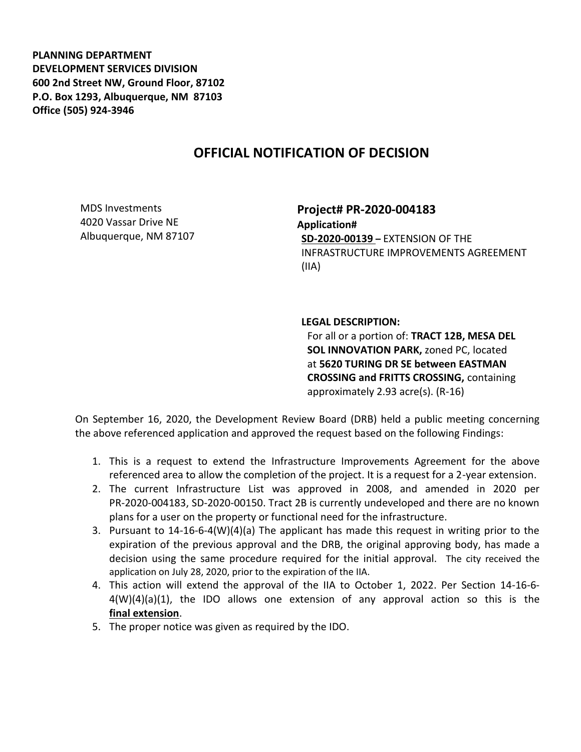**PLANNING DEPARTMENT DEVELOPMENT SERVICES DIVISION 600 2nd Street NW, Ground Floor, 87102 P.O. Box 1293, Albuquerque, NM 87103 Office (505) 924-3946** 

## **OFFICIAL NOTIFICATION OF DECISION**

MDS Investments 4020 Vassar Drive NE Albuquerque, NM 87107

**Project# PR-2020-004183 Application# SD-2020-00139 –** EXTENSION OF THE INFRASTRUCTURE IMPROVEMENTS AGREEMENT (IIA)

## **LEGAL DESCRIPTION:**

For all or a portion of: **TRACT 12B, MESA DEL SOL INNOVATION PARK,** zoned PC, located at **5620 TURING DR SE between EASTMAN CROSSING and FRITTS CROSSING,** containing approximately 2.93 acre(s). (R-16)

On September 16, 2020, the Development Review Board (DRB) held a public meeting concerning the above referenced application and approved the request based on the following Findings:

- 1. This is a request to extend the Infrastructure Improvements Agreement for the above referenced area to allow the completion of the project. It is a request for a 2-year extension.
- 2. The current Infrastructure List was approved in 2008, and amended in 2020 per PR-2020-004183, SD-2020-00150. Tract 2B is currently undeveloped and there are no known plans for a user on the property or functional need for the infrastructure.
- 3. Pursuant to 14-16-6-4(W)(4)(a) The applicant has made this request in writing prior to the expiration of the previous approval and the DRB, the original approving body, has made a decision using the same procedure required for the initial approval. The city received the application on July 28, 2020, prior to the expiration of the IIA.
- 4. This action will extend the approval of the IIA to October 1, 2022. Per Section 14-16-6- 4(W)(4)(a)(1), the IDO allows one extension of any approval action so this is the **final extension**.
- 5. The proper notice was given as required by the IDO.